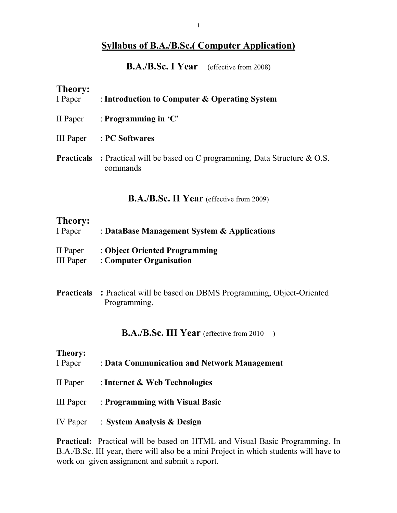# Syllabus of B.A./B.Sc.( Computer Application)

B.A./B.Sc. I Year (effective from 2008)

## Theory:

| I Paper | : Introduction to Computer & Operating System                                                  |
|---------|------------------------------------------------------------------------------------------------|
|         | II Paper : Programming in $C'$                                                                 |
|         | III Paper : PC Softwares                                                                       |
|         | <b>Practical :</b> Practical will be based on C programming, Data Structure & O.S.<br>commands |

B.A./B.Sc. II Year (effective from 2009)

# Theory:

| I Paper | : DataBase Management System & Applications |
|---------|---------------------------------------------|
|---------|---------------------------------------------|

- II Paper : Object Oriented Programming
- III Paper : Computer Organisation
- Practicals : Practical will be based on DBMS Programming, Object-Oriented Programming.

B.A./B.Sc. III Year (effective from 2010)

| <b>Theory:</b><br>I Paper | : Data Communication and Network Management |
|---------------------------|---------------------------------------------|
| II Paper                  | : Internet $\&$ Web Technologies            |
|                           | III Paper : Programming with Visual Basic   |
| IV Paper                  | : System Analysis & Design                  |

Practical: Practical will be based on HTML and Visual Basic Programming. In B.A./B.Sc. III year, there will also be a mini Project in which students will have to work on given assignment and submit a report.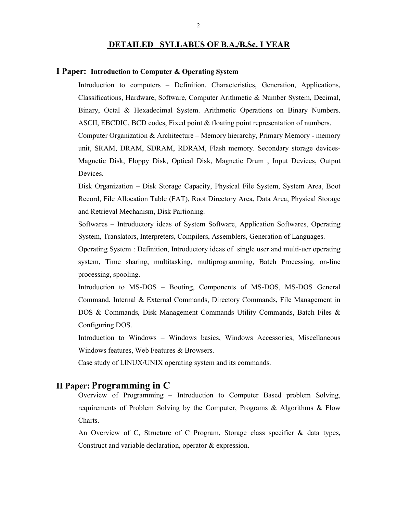#### DETAILED SYLLABUS OF B.A./B.Sc. I YEAR

#### I Paper: Introduction to Computer & Operating System

Introduction to computers – Definition, Characteristics, Generation, Applications, Classifications, Hardware, Software, Computer Arithmetic & Number System, Decimal, Binary, Octal & Hexadecimal System. Arithmetic Operations on Binary Numbers. ASCII, EBCDIC, BCD codes, Fixed point & floating point representation of numbers. Computer Organization & Architecture – Memory hierarchy, Primary Memory - memory unit, SRAM, DRAM, SDRAM, RDRAM, Flash memory. Secondary storage devices-Magnetic Disk, Floppy Disk, Optical Disk, Magnetic Drum , Input Devices, Output Devices.

Disk Organization – Disk Storage Capacity, Physical File System, System Area, Boot Record, File Allocation Table (FAT), Root Directory Area, Data Area, Physical Storage and Retrieval Mechanism, Disk Partioning.

Softwares – Introductory ideas of System Software, Application Softwares, Operating System, Translators, Interpreters, Compilers, Assemblers, Generation of Languages.

Operating System : Definition, Introductory ideas of single user and multi-uer operating system, Time sharing, multitasking, multiprogramming, Batch Processing, on-line processing, spooling.

Introduction to MS-DOS – Booting, Components of MS-DOS, MS-DOS General Command, Internal & External Commands, Directory Commands, File Management in DOS & Commands, Disk Management Commands Utility Commands, Batch Files & Configuring DOS.

Introduction to Windows – Windows basics, Windows Accessories, Miscellaneous Windows features, Web Features & Browsers.

Case study of LINUX/UNIX operating system and its commands.

## II Paper: Programming in C

Overview of Programming – Introduction to Computer Based problem Solving, requirements of Problem Solving by the Computer, Programs & Algorithms & Flow Charts.

An Overview of C, Structure of C Program, Storage class specifier & data types, Construct and variable declaration, operator & expression.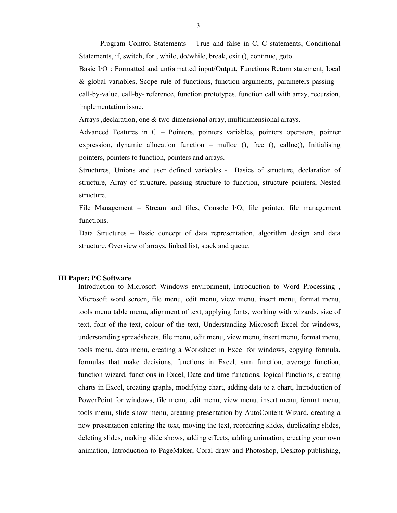Program Control Statements – True and false in C, C statements, Conditional Statements, if, switch, for , while, do/while, break, exit (), continue, goto.

Basic I/O : Formatted and unformatted input/Output, Functions Return statement, local  $&$  global variables, Scope rule of functions, function arguments, parameters passing  $$ call-by-value, call-by- reference, function prototypes, function call with array, recursion, implementation issue.

Arrays , declaration, one & two dimensional array, multidimensional arrays.

Advanced Features in C – Pointers, pointers variables, pointers operators, pointer expression, dynamic allocation function – malloc  $($ ), free  $($ ), calloc $($ ), Initialising pointers, pointers to function, pointers and arrays.

Structures, Unions and user defined variables - Basics of structure, declaration of structure, Array of structure, passing structure to function, structure pointers, Nested structure.

File Management – Stream and files, Console I/O, file pointer, file management functions.

Data Structures – Basic concept of data representation, algorithm design and data structure. Overview of arrays, linked list, stack and queue.

#### III Paper: PC Software

Introduction to Microsoft Windows environment, Introduction to Word Processing , Microsoft word screen, file menu, edit menu, view menu, insert menu, format menu, tools menu table menu, alignment of text, applying fonts, working with wizards, size of text, font of the text, colour of the text, Understanding Microsoft Excel for windows, understanding spreadsheets, file menu, edit menu, view menu, insert menu, format menu, tools menu, data menu, creating a Worksheet in Excel for windows, copying formula, formulas that make decisions, functions in Excel, sum function, average function, function wizard, functions in Excel, Date and time functions, logical functions, creating charts in Excel, creating graphs, modifying chart, adding data to a chart, Introduction of PowerPoint for windows, file menu, edit menu, view menu, insert menu, format menu, tools menu, slide show menu, creating presentation by AutoContent Wizard, creating a new presentation entering the text, moving the text, reordering slides, duplicating slides, deleting slides, making slide shows, adding effects, adding animation, creating your own animation, Introduction to PageMaker, Coral draw and Photoshop, Desktop publishing,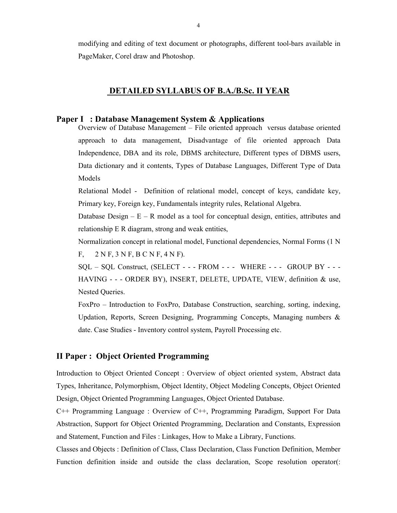modifying and editing of text document or photographs, different tool-bars available in PageMaker, Corel draw and Photoshop.

### DETAILED SYLLABUS OF B.A./B.Sc. II YEAR

### Paper I : Database Management System & Applications

Overview of Database Management – File oriented approach versus database oriented approach to data management, Disadvantage of file oriented approach Data Independence, DBA and its role, DBMS architecture, Different types of DBMS users, Data dictionary and it contents, Types of Database Languages, Different Type of Data Models

Relational Model - Definition of relational model, concept of keys, candidate key, Primary key, Foreign key, Fundamentals integrity rules, Relational Algebra.

Database Design –  $E - R$  model as a tool for conceptual design, entities, attributes and relationship E R diagram, strong and weak entities,

Normalization concept in relational model, Functional dependencies, Normal Forms (1 N F, 2 N F, 3 N F, B C N F, 4 N F).

SQL – SQL Construct, (SELECT - - - FROM - - - WHERE - - - GROUP BY - - - HAVING - - - ORDER BY), INSERT, DELETE, UPDATE, VIEW, definition & use, Nested Queries.

FoxPro – Introduction to FoxPro, Database Construction, searching, sorting, indexing, Updation, Reports, Screen Designing, Programming Concepts, Managing numbers & date. Case Studies - Inventory control system, Payroll Processing etc.

### II Paper : Object Oriented Programming

Introduction to Object Oriented Concept : Overview of object oriented system, Abstract data Types, Inheritance, Polymorphism, Object Identity, Object Modeling Concepts, Object Oriented Design, Object Oriented Programming Languages, Object Oriented Database.

C++ Programming Language : Overview of C++, Programming Paradigm, Support For Data Abstraction, Support for Object Oriented Programming, Declaration and Constants, Expression and Statement, Function and Files : Linkages, How to Make a Library, Functions.

Classes and Objects : Definition of Class, Class Declaration, Class Function Definition, Member Function definition inside and outside the class declaration, Scope resolution operator(: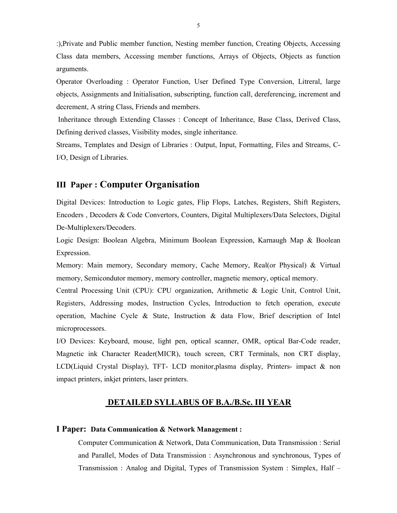:),Private and Public member function, Nesting member function, Creating Objects, Accessing Class data members, Accessing member functions, Arrays of Objects, Objects as function arguments.

Operator Overloading : Operator Function, User Defined Type Conversion, Litreral, large objects, Assignments and Initialisation, subscripting, function call, dereferencing, increment and decrement, A string Class, Friends and members.

 Inheritance through Extending Classes : Concept of Inheritance, Base Class, Derived Class, Defining derived classes, Visibility modes, single inheritance.

Streams, Templates and Design of Libraries : Output, Input, Formatting, Files and Streams, C-I/O, Design of Libraries.

# III Paper : Computer Organisation

Digital Devices: Introduction to Logic gates, Flip Flops, Latches, Registers, Shift Registers, Encoders , Decoders & Code Convertors, Counters, Digital Multiplexers/Data Selectors, Digital De-Multiplexers/Decoders.

Logic Design: Boolean Algebra, Minimum Boolean Expression, Karnaugh Map & Boolean Expression.

Memory: Main memory, Secondary memory, Cache Memory, Real(or Physical) & Virtual memory, Semicondutor memory, memory controller, magnetic memory, optical memory.

Central Processing Unit (CPU): CPU organization, Arithmetic & Logic Unit, Control Unit, Registers, Addressing modes, Instruction Cycles, Introduction to fetch operation, execute operation, Machine Cycle & State, Instruction & data Flow, Brief description of Intel microprocessors.

I/O Devices: Keyboard, mouse, light pen, optical scanner, OMR, optical Bar-Code reader, Magnetic ink Character Reader(MICR), touch screen, CRT Terminals, non CRT display, LCD(Liquid Crystal Display), TFT- LCD monitor, plasma display, Printers- impact  $\&$  non impact printers, inkjet printers, laser printers.

## DETAILED SYLLABUS OF B.A./B.Sc. III YEAR

#### I Paper: Data Communication & Network Management :

Computer Communication & Network, Data Communication, Data Transmission : Serial and Parallel, Modes of Data Transmission : Asynchronous and synchronous, Types of Transmission : Analog and Digital, Types of Transmission System : Simplex, Half –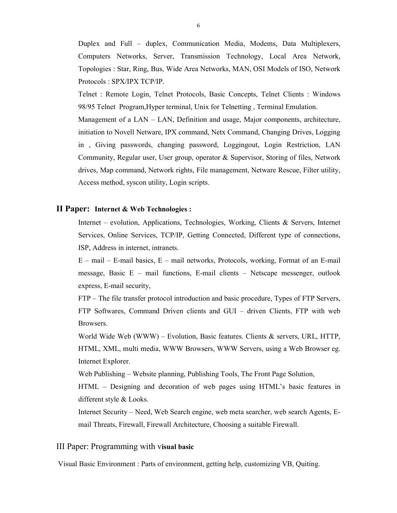Duplex and Full – duplex, Communication Media, Modems, Data Multiplexers, Computers Networks, Server, Transmission Technology, Local Area Network, Topologies : Star, Ring, Bus, Wide Area Networks, MAN, OSI Models of ISO, Network Protocols : SPX/IPX TCP/IP.

Telnet : Remote Login, Telnet Protocols, Basic Concepts, Telnet Clients : Windows 98/95 Telnet Program,Hyper terminal, Unix for Telnetting , Terminal Emulation.

Management of a LAN – LAN, Definition and usage, Major components, architecture, initiation to Novell Netware, IPX command, Netx Command, Changing Drives, Logging in , Giving passwords, changing password, Loggingout, Login Restriction, LAN Community, Regular user, User group, operator & Supervisor, Storing of files, Network drives, Map command, Network rights, File management, Netware Rescue, Filter utility, Access method, syscon utility, Login scripts.

#### II Paper: Internet & Web Technologies :

Internet – evolution, Applications, Technologies, Working, Clients & Servers, Internet Services, Online Services, TCP/IP, Getting Connected, Different type of connections, ISP, Address in internet, intranets.

E – mail – E-mail basics, E – mail networks, Protocols, working, Format of an E-mail message, Basic  $E -$  mail functions, E-mail clients – Netscape messenger, outlook express, E-mail security,

FTP – The file transfer protocol introduction and basic procedure, Types of FTP Servers, FTP Softwares, Command Driven clients and GUI – driven Clients, FTP with web Browsers.

World Wide Web (WWW) – Evolution, Basic features. Clients & servers, URL, HTTP, HTML, XML, multi media, WWW Browsers, WWW Servers, using a Web Browser eg. Internet Explorer.

Web Publishing – Website planning, Publishing Tools, The Front Page Solution,

HTML – Designing and decoration of web pages using HTML's basic features in different style & Looks.

Internet Security – Need, Web Search engine, web meta searcher, web search Agents, Email Threats, Firewall, Firewall Architecture, Choosing a suitable Firewall.

### III Paper: Programming with visual basic

Visual Basic Environment : Parts of environment, getting help, customizing VB, Quiting.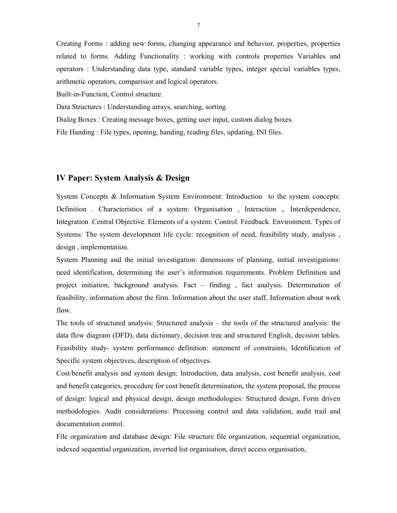Creating Forms : adding new forms, changing appearance and behavior, properties, properties related to forms. Adding Functionality : working with controls properties Variables and operators : Understanding data type, standard variable types, integer special variables types, arithmetic operators, comparisior and logical operators.

Built-in-Function, Control structure.

Data Structures : Understanding arrays, searching, sorting.

Dialog Boxes : Creating message boxes, getting user input, custom dialog boxes.

File Handing : File types, opening, handing, reading files, updating, INI files.

### IV Paper: System Analysis & Design

System Concepts & Information System Environment: Introduction to the system concepts: Definition . Characteristics of a system: Organisation , Interaction ,. Interdependence, Integration .Central Objective. Elements of a system: Control. Feedback. Environment. Types of Systems: The system development life cycle: recognition of need, feasibility study, analysis , design , implementation.

System Planning and the initial investigation: dimensions of planning, initial investigations: need identification, determining the user's information requirements. Problem Definition and project initiation, background analysis. Fact – finding , fact analysis. Determination of feasibility, information about the firm. Information about the user staff, Information about work flow.

The tools of structured analysis: Structured analysis – the tools of the structured analysis: the data flow diagram (DFD), data dictionary, decision tree and structured English, decision tables. Feasibility study- system performance definition: statement of constraints, Identification of Specific system objectives, description of objectives.

Cost/benefit analysis and system design: Introduction, data analysis, cost benefit analysis, cost and benefit categories, procedure for cost benefit determination, the system proposal, the process of design: logical and physical design, design methodologies: Structured design, Form driven methodologies. Audit considerations: Processing control and data validation, audit trail and documentation control.

File organization and database design: File structure file organization, sequential organization, indexed sequential organization, inverted list organisation, direct access organisation,